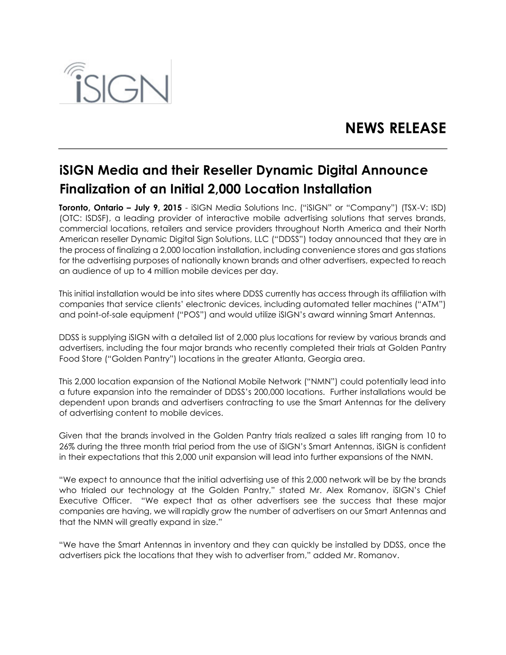

## **NEWS RELEASE**

## **iSIGN Media and their Reseller Dynamic Digital Announce Finalization of an Initial 2,000 Location Installation**

**Toronto, Ontario – July 9, 2015** - iSIGN Media Solutions Inc. ("iSIGN" or "Company") (TSX-V: ISD) (OTC: ISDSF), a leading provider of interactive mobile advertising solutions that serves brands, commercial locations, retailers and service providers throughout North America and their North American reseller Dynamic Digital Sign Solutions, LLC ("DDSS") today announced that they are in the process of finalizing a 2,000 location installation, including convenience stores and gas stations for the advertising purposes of nationally known brands and other advertisers, expected to reach an audience of up to 4 million mobile devices per day.

This initial installation would be into sites where DDSS currently has access through its affiliation with companies that service clients' electronic devices, including automated teller machines ("ATM") and point-of-sale equipment ("POS") and would utilize iSIGN's award winning Smart Antennas.

DDSS is supplying iSIGN with a detailed list of 2,000 plus locations for review by various brands and advertisers, including the four major brands who recently completed their trials at Golden Pantry Food Store ("Golden Pantry") locations in the greater Atlanta, Georgia area.

This 2,000 location expansion of the National Mobile Network ("NMN") could potentially lead into a future expansion into the remainder of DDSS's 200,000 locations. Further installations would be dependent upon brands and advertisers contracting to use the Smart Antennas for the delivery of advertising content to mobile devices.

Given that the brands involved in the Golden Pantry trials realized a sales lift ranging from 10 to 26% during the three month trial period from the use of iSIGN's Smart Antennas, iSIGN is confident in their expectations that this 2,000 unit expansion will lead into further expansions of the NMN.

"We expect to announce that the initial advertising use of this 2,000 network will be by the brands who trialed our technology at the Golden Pantry," stated Mr. Alex Romanov, iSIGN's Chief Executive Officer. "We expect that as other advertisers see the success that these major companies are having, we will rapidly grow the number of advertisers on our Smart Antennas and that the NMN will greatly expand in size."

"We have the Smart Antennas in inventory and they can quickly be installed by DDSS, once the advertisers pick the locations that they wish to advertiser from," added Mr. Romanov.